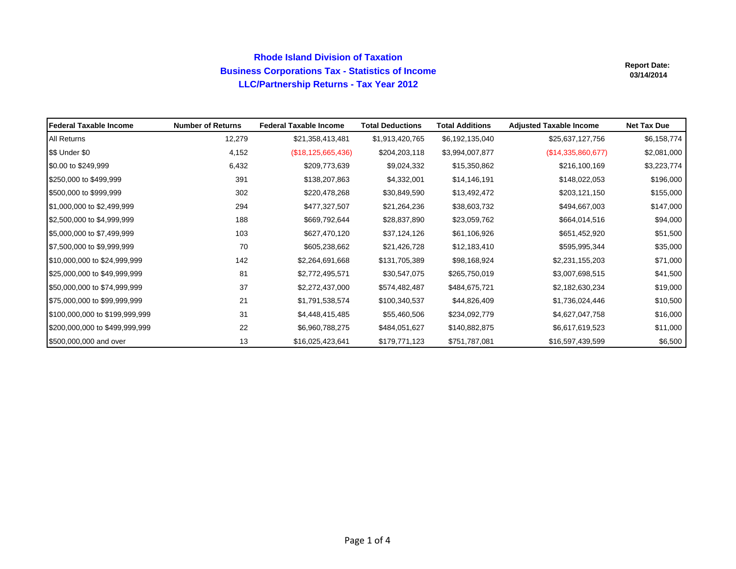## **Rhode Island Division of Taxation Business Corporations Tax - Statistics of Income LLC/Partnership Returns - Tax Year 2012**

| lFederal Taxable Income        | <b>Number of Returns</b> | <b>Federal Taxable Income</b> | <b>Total Deductions</b> | <b>Total Additions</b> | <b>Adjusted Taxable Income</b> | <b>Net Tax Due</b> |
|--------------------------------|--------------------------|-------------------------------|-------------------------|------------------------|--------------------------------|--------------------|
| All Returns                    | 12,279                   | \$21,358,413,481              | \$1,913,420,765         | \$6,192,135,040        | \$25,637,127,756               | \$6,158,774        |
| \$\$ Under \$0                 | 4,152                    | (\$18, 125, 665, 436)         | \$204,203,118           | \$3,994,007,877        | (\$14,335,860,677)             | \$2,081,000        |
| \$0.00 to \$249,999            | 6,432                    | \$209,773,639                 | \$9,024,332             | \$15,350,862           | \$216,100,169                  | \$3,223,774        |
| \$250,000 to \$499,999         | 391                      | \$138,207,863                 | \$4,332,001             | \$14,146,191           | \$148,022,053                  | \$196,000          |
| \$500,000 to \$999,999         | 302                      | \$220,478,268                 | \$30,849,590            | \$13,492,472           | \$203,121,150                  | \$155,000          |
| \$1,000,000 to \$2,499,999     | 294                      | \$477,327,507                 | \$21,264,236            | \$38,603,732           | \$494,667,003                  | \$147,000          |
| \$2,500,000 to \$4,999,999     | 188                      | \$669,792,644                 | \$28,837,890            | \$23,059,762           | \$664,014,516                  | \$94,000           |
| \$5,000,000 to \$7,499,999     | 103                      | \$627,470,120                 | \$37,124,126            | \$61,106,926           | \$651,452,920                  | \$51,500           |
| \$7,500,000 to \$9,999,999     | 70                       | \$605,238,662                 | \$21,426,728            | \$12,183,410           | \$595,995,344                  | \$35,000           |
| \$10,000,000 to \$24,999,999   | 142                      | \$2,264,691,668               | \$131,705,389           | \$98,168,924           | \$2,231,155,203                | \$71,000           |
| \$25,000,000 to \$49,999,999   | 81                       | \$2,772,495,571               | \$30,547,075            | \$265,750,019          | \$3,007,698,515                | \$41,500           |
| \$50,000,000 to \$74,999,999   | 37                       | \$2,272,437,000               | \$574,482,487           | \$484,675,721          | \$2,182,630,234                | \$19,000           |
| \$75,000,000 to \$99,999,999   | 21                       | \$1,791,538,574               | \$100,340,537           | \$44,826,409           | \$1,736,024,446                | \$10,500           |
| \$100,000,000 to \$199,999,999 | 31                       | \$4,448,415,485               | \$55,460,506            | \$234,092,779          | \$4,627,047,758                | \$16,000           |
| \$200,000,000 to \$499,999,999 | 22                       | \$6,960,788,275               | \$484,051,627           | \$140,882,875          | \$6,617,619,523                | \$11,000           |
| \$500,000,000 and over         | 13                       | \$16,025,423,641              | \$179,771,123           | \$751,787,081          | \$16,597,439,599               | \$6,500            |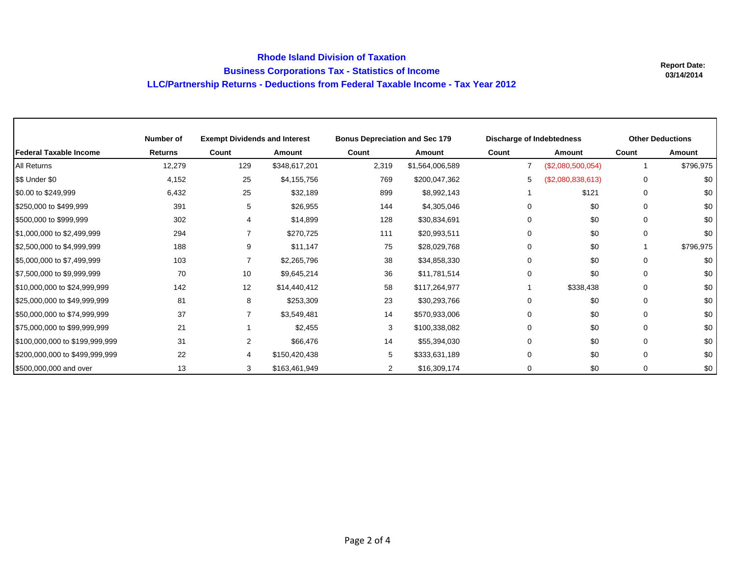## **Rhode Island Division of TaxationBusiness Corporations Tax - Statistics of Income LLC/Partnership Returns - Deductions from Federal Taxable Income - Tax Year 2012**

Г

|                                | Number of      | <b>Exempt Dividends and Interest</b> |               | <b>Bonus Depreciation and Sec 179</b> |                 |                | Discharge of Indebtedness |             | <b>Other Deductions</b> |  |
|--------------------------------|----------------|--------------------------------------|---------------|---------------------------------------|-----------------|----------------|---------------------------|-------------|-------------------------|--|
| <b>Federal Taxable Income</b>  | <b>Returns</b> | Count                                | Amount        | Count                                 | <b>Amount</b>   | Count          | Amount                    | Count       | Amount                  |  |
| All Returns                    | 12,279         | 129                                  | \$348,617,201 | 2,319                                 | \$1,564,006,589 | $\overline{7}$ | (\$2,080,500,054)         |             | \$796,975               |  |
| \$\$ Under \$0                 | 4,152          | 25                                   | \$4,155,756   | 769                                   | \$200,047,362   | 5              | (\$2,080,838,613)         | 0           | \$0                     |  |
| \$0.00 to \$249,999            | 6,432          | 25                                   | \$32,189      | 899                                   | \$8,992,143     |                | \$121                     | $\mathbf 0$ | \$0                     |  |
| \$250,000 to \$499,999         | 391            | 5                                    | \$26,955      | 144                                   | \$4,305,046     | $\Omega$       | \$0                       | 0           | \$0                     |  |
| \$500,000 to \$999,999         | 302            |                                      | \$14,899      | 128                                   | \$30,834,691    | $\Omega$       | \$0                       | 0           | \$0                     |  |
| \$1,000,000 to \$2,499,999     | 294            |                                      | \$270,725     | 111                                   | \$20,993,511    | $\Omega$       | \$0                       | $\mathbf 0$ | \$0                     |  |
| \$2,500,000 to \$4,999,999     | 188            | 9                                    | \$11,147      | 75                                    | \$28,029,768    | $\Omega$       | \$0                       |             | \$796,975               |  |
| \$5,000,000 to \$7,499,999     | 103            |                                      | \$2,265,796   | 38                                    | \$34,858,330    | $\Omega$       | \$0                       | $\mathbf 0$ | \$0                     |  |
| \$7,500,000 to \$9,999,999     | 70             | 10                                   | \$9,645,214   | 36                                    | \$11,781,514    | $\Omega$       | \$0                       | $\Omega$    | \$0                     |  |
| \$10,000,000 to \$24,999,999   | 142            | 12                                   | \$14,440,412  | 58                                    | \$117,264,977   |                | \$338,438                 | 0           | \$0                     |  |
| \$25,000,000 to \$49,999,999   | 81             | 8                                    | \$253,309     | 23                                    | \$30,293,766    | $\Omega$       | \$0                       | $\mathbf 0$ | \$0                     |  |
| \$50,000,000 to \$74,999,999   | 37             |                                      | \$3,549,481   | 14                                    | \$570,933,006   | $\Omega$       | \$0                       | $\Omega$    | \$0                     |  |
| \$75,000,000 to \$99,999,999   | 21             |                                      | \$2,455       | 3                                     | \$100,338,082   | $\Omega$       | \$0                       | $\Omega$    | \$0                     |  |
| \$100,000,000 to \$199,999,999 | 31             | $\overline{2}$                       | \$66,476      | 14                                    | \$55,394,030    | $\Omega$       | \$0                       | 0           | \$0                     |  |
| \$200,000,000 to \$499,999,999 | 22             |                                      | \$150,420,438 | 5                                     | \$333,631,189   | $\Omega$       | \$0                       | 0           | \$0                     |  |
| \$500,000,000 and over         | 13             | 3                                    | \$163,461,949 | $\overline{2}$                        | \$16,309,174    | 0              | \$0                       | 0           | \$0                     |  |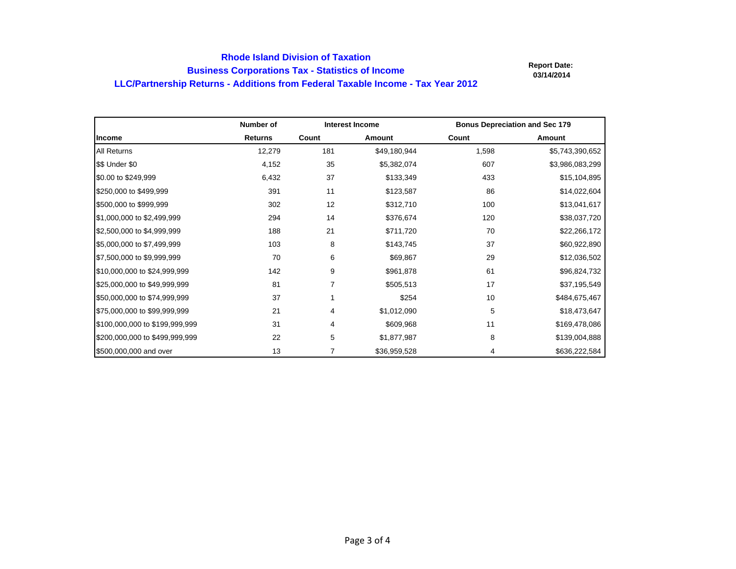## **Rhode Island Division of Taxation Business Corporations Tax - Statistics of Income LLC/Partnership Returns - Additions from Federal Taxable Income - Tax Year 2012**

|                                | Number of      | <b>Interest Income</b> |               | <b>Bonus Depreciation and Sec 179</b> |                 |
|--------------------------------|----------------|------------------------|---------------|---------------------------------------|-----------------|
| Income                         | <b>Returns</b> | Count                  | <b>Amount</b> | Count                                 | Amount          |
| <b>All Returns</b>             | 12,279         | 181                    | \$49,180,944  | 1,598                                 | \$5,743,390,652 |
| \$\$ Under \$0                 | 4,152          | 35                     | \$5,382,074   | 607                                   | \$3,986,083,299 |
| \$0.00 to \$249,999            | 6,432          | 37                     | \$133,349     | 433                                   | \$15,104,895    |
| \$250,000 to \$499,999         | 391            | 11                     | \$123,587     | 86                                    | \$14,022,604    |
| \$500,000 to \$999,999         | 302            | 12                     | \$312,710     | 100                                   | \$13,041,617    |
| \$1,000,000 to \$2,499,999     | 294            | 14                     | \$376,674     | 120                                   | \$38,037,720    |
| \$2,500,000 to \$4,999,999     | 188            | 21                     | \$711,720     | 70                                    | \$22,266,172    |
| \$5,000,000 to \$7,499,999     | 103            | 8                      | \$143,745     | 37                                    | \$60,922,890    |
| \$7,500,000 to \$9,999,999     | 70             | 6                      | \$69,867      | 29                                    | \$12,036,502    |
| \$10,000,000 to \$24,999,999   | 142            | 9                      | \$961,878     | 61                                    | \$96,824,732    |
| \$25,000,000 to \$49,999,999   | 81             | 7                      | \$505,513     | 17                                    | \$37,195,549    |
| \$50,000,000 to \$74,999,999   | 37             |                        | \$254         | 10                                    | \$484,675,467   |
| \$75,000,000 to \$99,999,999   | 21             | 4                      | \$1,012,090   | 5                                     | \$18,473,647    |
| \$100,000,000 to \$199,999,999 | 31             | 4                      | \$609,968     | 11                                    | \$169,478,086   |
| \$200,000,000 to \$499,999,999 | 22             | 5                      | \$1,877,987   | 8                                     | \$139,004,888   |
| \$500,000,000 and over         | 13             |                        | \$36,959,528  | 4                                     | \$636,222,584   |